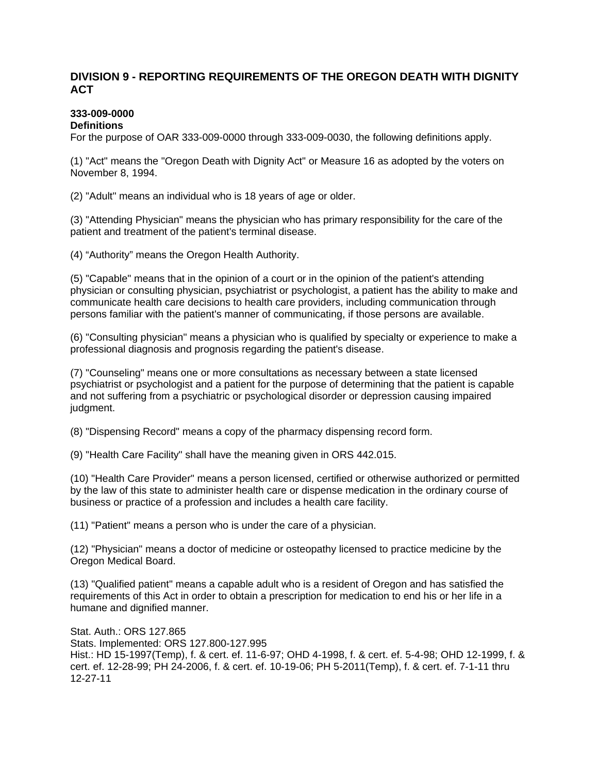## **DIVISION 9 - REPORTING REQUIREMENTS OF THE OREGON DEATH WITH DIGNITY ACT**

# **333-009-0000**

## **Definitions**

For the purpose of OAR 333-009-0000 through 333-009-0030, the following definitions apply.

(1) "Act" means the "Oregon Death with Dignity Act" or Measure 16 as adopted by the voters on November 8, 1994.

(2) "Adult" means an individual who is 18 years of age or older.

(3) "Attending Physician" means the physician who has primary responsibility for the care of the patient and treatment of the patient's terminal disease.

(4) "Authority" means the Oregon Health Authority.

(5) "Capable" means that in the opinion of a court or in the opinion of the patient's attending physician or consulting physician, psychiatrist or psychologist, a patient has the ability to make and communicate health care decisions to health care providers, including communication through persons familiar with the patient's manner of communicating, if those persons are available.

(6) "Consulting physician" means a physician who is qualified by specialty or experience to make a professional diagnosis and prognosis regarding the patient's disease.

(7) "Counseling" means one or more consultations as necessary between a state licensed psychiatrist or psychologist and a patient for the purpose of determining that the patient is capable and not suffering from a psychiatric or psychological disorder or depression causing impaired judgment.

(8) "Dispensing Record" means a copy of the pharmacy dispensing record form.

(9) "Health Care Facility" shall have the meaning given in ORS 442.015.

(10) "Health Care Provider" means a person licensed, certified or otherwise authorized or permitted by the law of this state to administer health care or dispense medication in the ordinary course of business or practice of a profession and includes a health care facility.

(11) "Patient" means a person who is under the care of a physician.

(12) "Physician" means a doctor of medicine or osteopathy licensed to practice medicine by the Oregon Medical Board.

(13) "Qualified patient" means a capable adult who is a resident of Oregon and has satisfied the requirements of this Act in order to obtain a prescription for medication to end his or her life in a humane and dignified manner.

Stat. Auth.: ORS 127.865 Stats. Implemented: ORS 127.800-127.995 Hist.: HD 15-1997(Temp), f. & cert. ef. 11-6-97; OHD 4-1998, f. & cert. ef. 5-4-98; OHD 12-1999, f. & cert. ef. 12-28-99; PH 24-2006, f. & cert. ef. 10-19-06; PH 5-2011(Temp), f. & cert. ef. 7-1-11 thru 12-27-11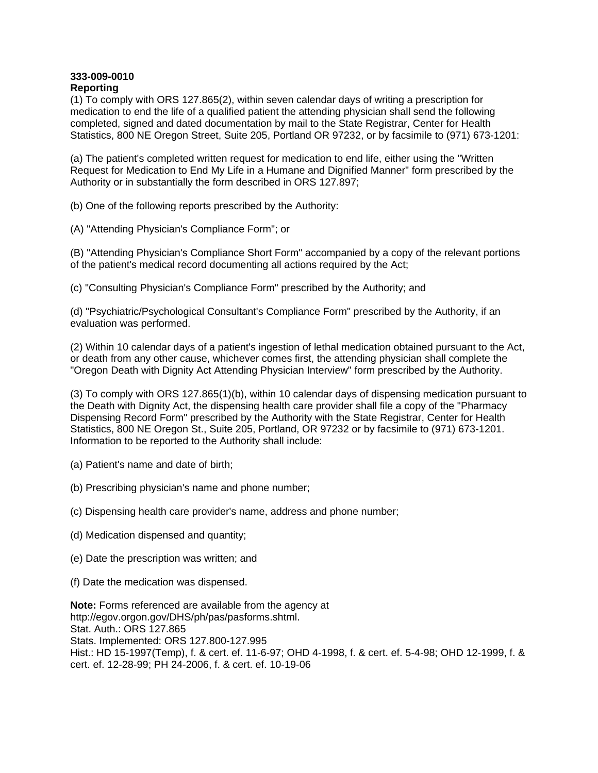#### **333-009-0010 Reporting**

(1) To comply with ORS 127.865(2), within seven calendar days of writing a prescription for medication to end the life of a qualified patient the attending physician shall send the following completed, signed and dated documentation by mail to the State Registrar, Center for Health Statistics, 800 NE Oregon Street, Suite 205, Portland OR 97232, or by facsimile to (971) 673-1201:

(a) The patient's completed written request for medication to end life, either using the "Written Request for Medication to End My Life in a Humane and Dignified Manner" form prescribed by the Authority or in substantially the form described in ORS 127.897;

(b) One of the following reports prescribed by the Authority:

(A) "Attending Physician's Compliance Form"; or

(B) "Attending Physician's Compliance Short Form" accompanied by a copy of the relevant portions of the patient's medical record documenting all actions required by the Act;

(c) "Consulting Physician's Compliance Form" prescribed by the Authority; and

(d) "Psychiatric/Psychological Consultant's Compliance Form" prescribed by the Authority, if an evaluation was performed.

(2) Within 10 calendar days of a patient's ingestion of lethal medication obtained pursuant to the Act, or death from any other cause, whichever comes first, the attending physician shall complete the "Oregon Death with Dignity Act Attending Physician Interview" form prescribed by the Authority.

(3) To comply with ORS 127.865(1)(b), within 10 calendar days of dispensing medication pursuant to the Death with Dignity Act, the dispensing health care provider shall file a copy of the "Pharmacy Dispensing Record Form" prescribed by the Authority with the State Registrar, Center for Health Statistics, 800 NE Oregon St., Suite 205, Portland, OR 97232 or by facsimile to (971) 673-1201. Information to be reported to the Authority shall include:

- (a) Patient's name and date of birth;
- (b) Prescribing physician's name and phone number;
- (c) Dispensing health care provider's name, address and phone number;
- (d) Medication dispensed and quantity;
- (e) Date the prescription was written; and
- (f) Date the medication was dispensed.

**Note:** Forms referenced are available from the agency at http://egov.orgon.gov/DHS/ph/pas/pasforms.shtml. Stat. Auth.: ORS 127.865 Stats. Implemented: ORS 127.800-127.995 Hist.: HD 15-1997(Temp), f. & cert. ef. 11-6-97; OHD 4-1998, f. & cert. ef. 5-4-98; OHD 12-1999, f. & cert. ef. 12-28-99; PH 24-2006, f. & cert. ef. 10-19-06